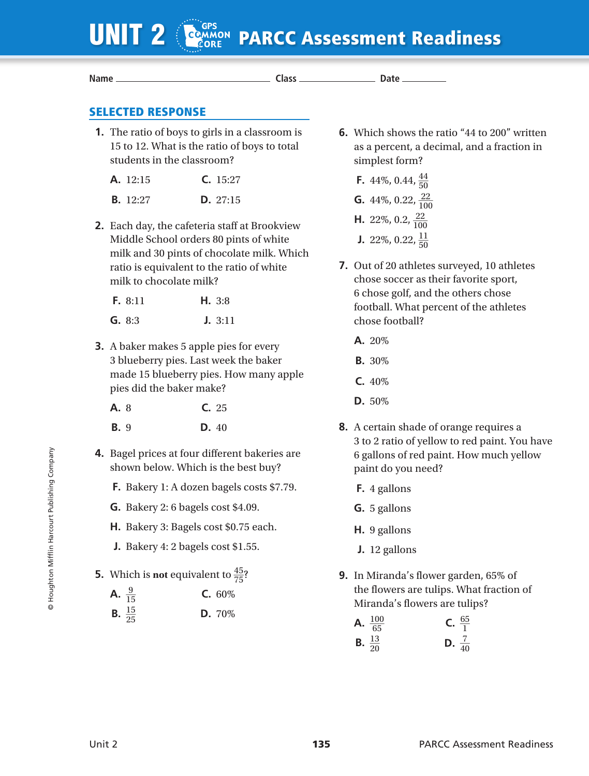| <b>COMMON</b><br>UNIT <sub>2</sub>                                                                                                    |  | <b>PARCC Assessment Readiness</b>                                                                                   |
|---------------------------------------------------------------------------------------------------------------------------------------|--|---------------------------------------------------------------------------------------------------------------------|
| Name _                                                                                                                                |  |                                                                                                                     |
| <b>SELECTED RESPONSE</b>                                                                                                              |  |                                                                                                                     |
| 1. The ratio of boys to girls in a classroom is<br>15 to 12. What is the ratio of boys to total<br>students in the classroom?         |  | <b>6.</b> Which shows the ratio "44 to 200" written<br>as a percent, a decimal, and a fraction in<br>simplest form? |
| C. 15:27<br>A. 12:15                                                                                                                  |  | <b>F.</b> 44%, 0.44, $\frac{44}{50}$                                                                                |
| <b>B.</b> 12:27<br>D. 27:15                                                                                                           |  | <b>G.</b> 44%, 0.22, $\frac{22}{100}$                                                                               |
| 2. Each day, the cafeteria staff at Brookview<br>Middle School orders 80 pints of white<br>milk and 30 pints of chocolate milk. Which |  | <b>H.</b> 22%, 0.2, $\frac{22}{100}$<br><b>J.</b> 22%, 0.22, $\frac{11}{50}$                                        |
| ratio is equivalent to the ratio of white<br>milk to chocolate milk?                                                                  |  | 7. Out of 20 athletes surveyed, 10 athletes<br>chose soccer as their favorite sport,                                |
| F. 8:11<br>H. 3:8                                                                                                                     |  | 6 chose golf, and the others chose<br>football. What percent of the athletes                                        |
| G. 8:3<br>J. 3:11                                                                                                                     |  | chose football?                                                                                                     |
| <b>3.</b> A baker makes 5 apple pies for every<br>3 blueberry pies. Last week the baker                                               |  | A. 20%                                                                                                              |
|                                                                                                                                       |  | <b>B.</b> 30%                                                                                                       |
| made 15 blueberry pies. How many apple<br>pies did the baker make?                                                                    |  | C.40%                                                                                                               |
| A. 8<br>C. 25                                                                                                                         |  | D. 50%                                                                                                              |
| <b>B.</b> 9<br>D. 40                                                                                                                  |  | 8. A certain shade of orange requires a                                                                             |
| 4. Bagel prices at four different bakeries are<br>shown below. Which is the best buy?                                                 |  | 3 to 2 ratio of yellow to red paint. You have<br>6 gallons of red paint. How much yellow<br>paint do you need?      |
| F. Bakery 1: A dozen bagels costs \$7.79.                                                                                             |  | <b>F.</b> 4 gallons                                                                                                 |
| <b>G.</b> Bakery 2: 6 bagels cost \$4.09.                                                                                             |  | G. 5 gallons                                                                                                        |
| H. Bakery 3: Bagels cost \$0.75 each.                                                                                                 |  | H. 9 gallons                                                                                                        |
| J. Bakery 4: 2 bagels cost $$1.55$ .                                                                                                  |  | J. 12 gallons                                                                                                       |
| <b>5.</b> Which is <b>not</b> equivalent to $\frac{45}{75}$ ?                                                                         |  | <b>9.</b> In Miranda's flower garden, 65% of                                                                        |
| A. $\frac{9}{15}$<br>C. 60%                                                                                                           |  | the flowers are tulips. What fraction of<br>Miranda's flowers are tulips?                                           |
| <b>B.</b> $\frac{15}{25}$<br>D. 70%                                                                                                   |  | A. $\frac{100}{65}$<br><b>C.</b> $\frac{65}{1}$<br><b>B.</b> $\frac{13}{20}$<br><b>D.</b> $\frac{7}{40}$            |